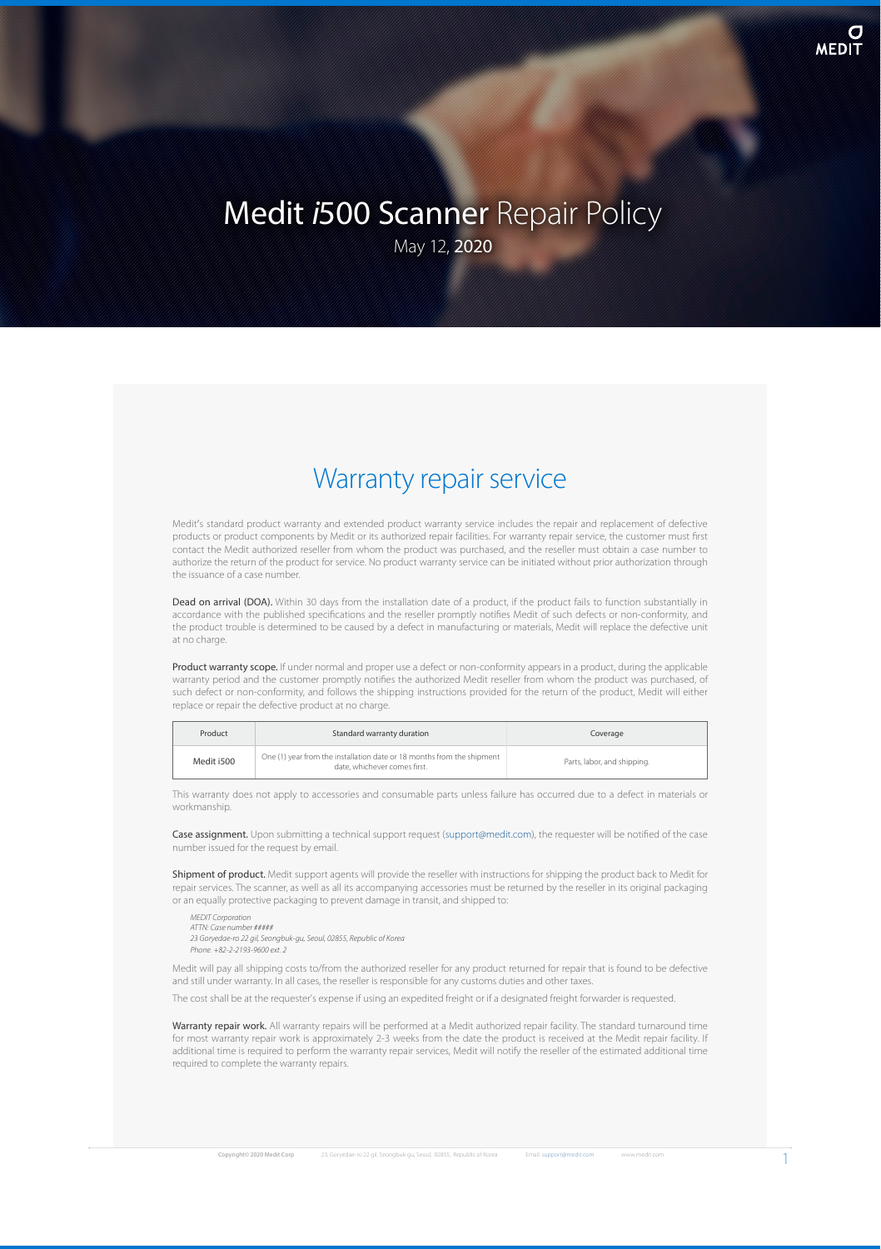# Medit *i*500 Scanner Repair Policy

May 12, 2020

### Warranty repair service

Medit's standard product warranty and extended product warranty service includes the repair and replacement of defective products or product components by Medit or its authorized repair facilities. For warranty repair service, the customer must first contact the Medit authorized reseller from whom the product was purchased, and the reseller must obtain a case number to authorize the return of the product for service. No product warranty service can be initiated without prior authorization through the issuance of a case number.

Dead on arrival (DOA). Within 30 days from the installation date of a product, if the product fails to function substantially in accordance with the published specifications and the reseller promptly notifies Medit of such defects or non-conformity, and the product trouble is determined to be caused by a defect in manufacturing or materials, Medit will replace the defective unit at no charge.

Product warranty scope. If under normal and proper use a defect or non-conformity appears in a product, during the applicable warranty period and the customer promptly noties the authorized Medit reseller from whom the product was purchased, of such defect or non-conformity, and follows the shipping instructions provided for the return of the product, Medit will either replace or repair the defective product at no charge.

| Product    | Standard warranty duration                                                                             | Coverage                    |
|------------|--------------------------------------------------------------------------------------------------------|-----------------------------|
| Medit i500 | One (1) year from the installation date or 18 months from the shipment<br>date, whichever comes first. | Parts, labor, and shipping. |

This warranty does not apply to accessories and consumable parts unless failure has occurred due to a defect in materials or workmanship.

Case assignment. Upon submitting a technical support request [\(support@medit.com](mailto:support%40medit.com?subject=%5BMedit%20i500%20Scanner%20Repair%20Policy%5D%20)), the requester will be notified of the case number issued for the request by email.

Shipment of product. Medit support agents will provide the reseller with instructions for shipping the product back to Medit for repair services. The scanner, as well as all its accompanying accessories must be returned by the reseller in its original packaging or an equally protective packaging to prevent damage in transit, and shipped to:

*MEDIT* Corporation *AT TN: Case number* ##### *2 3 G o r y e d a e -ro 2 2 g il, S e o n g b u k -g u , S e o u l, 0 2 8 5 5 , R e p u b lic o f K o re a P h o n e . +8 2 -2 -2 1 9 3 -9 6 0 0 e x t . 2*

Medit will pay all shipping costs to/from the authorized reseller for any product returned for repair that is found to be defective and still under warranty. In all cases, the reseller is responsible for any customs duties and other taxes

The cost shall be at the requester's expense if using an expedited freight or if a designated freight forwarder is requested.

Warranty repair work. All warranty repairs will be performed at a Medit authorized repair facility. The standard turnaround time for most warranty repair work is approximately 2-3 weeks from the date the product is received at the Medit repair facility. If additional time is required to perform the warranty repair services, Medit will notify the reseller of the estimated additional time required to complete the warranty repairs.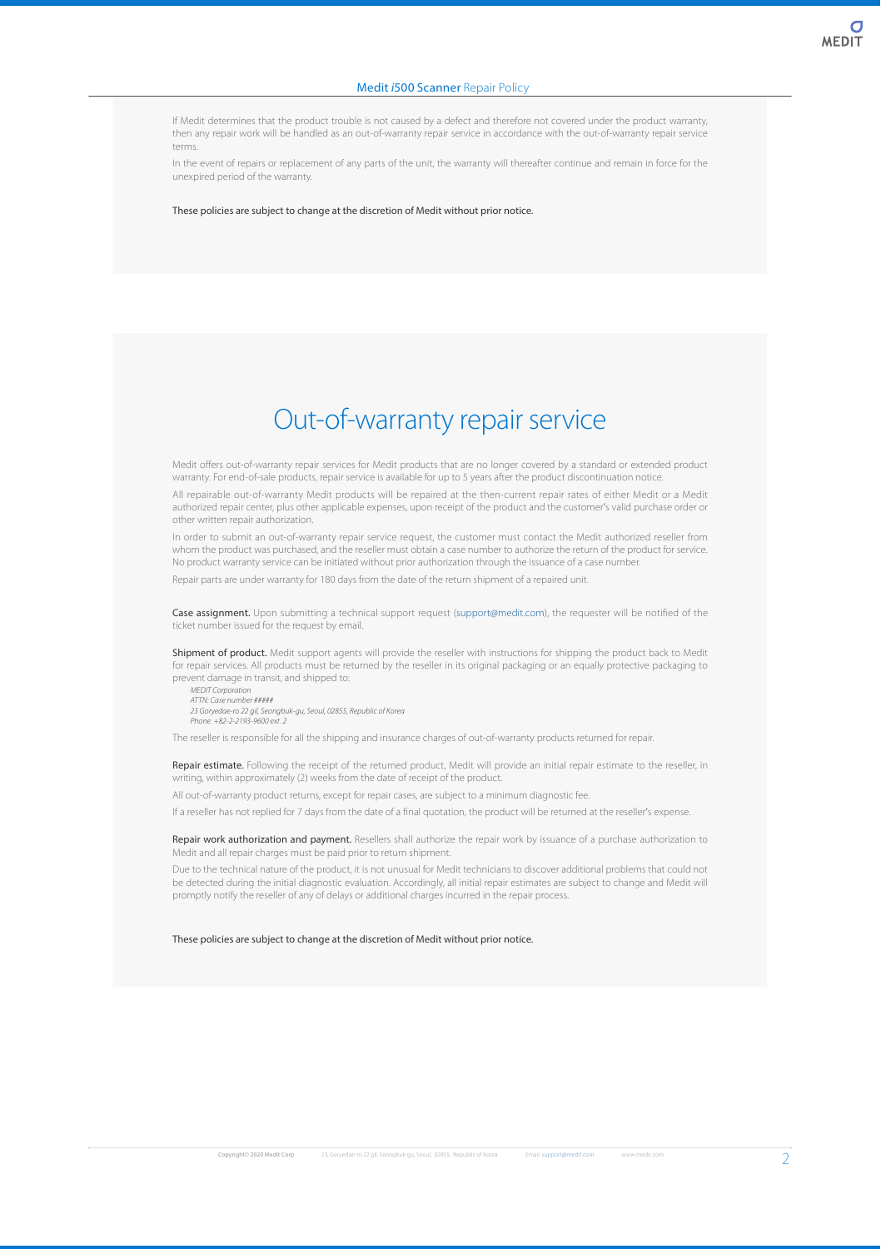If Medit determines that the product trouble is not caused by a defect and therefore not covered under the product warranty, then any repair work will be handled as an out-of-warranty repair service in accordance with the out-of-warranty repair service terms.

In the event of repairs or replacement of any parts of the unit, the warranty will thereafter continue and remain in force for the unexpired period of the warranty.

These policies are subject to change at the discretion of Medit without prior notice.

## Out-of-warranty repair service

Medit offers out-of-warranty repair services for Medit products that are no longer covered by a standard or extended product warranty. For end-of-sale products, repair service is available for up to 5 years after the product discontinuation notice.

All repairable out-of-warranty Medit products will be repaired at the then-current repair rates of either Medit or a Medit authorized repair center, plus other applicable expenses, upon receipt of the product and the customer's valid purchase order or other written repair authorization.

In order to submit an out-of-warranty repair service request, the customer must contact the Medit authorized reseller from whom the product was purchased, and the reseller must obtain a case number to authorize the return of the product for service. No product warranty service can be initiated without prior authorization through the issuance of a case number.

Repair parts are under warranty for 180 days from the date of the return shipment of a repaired unit.

Case assignment. Upon submitting a technical support request ([support@medit.com](mailto:support%40medit.com?subject=%5BMedit%20i500%20Scanner%20Repair%20Policy%5D%20)), the requester will be notified of the ticket number issued for the request by email.

Shipment of product. Medit support agents will provide the reseller with instructions for shipping the product back to Medit for repair services. All products must be returned by the reseller in its original packaging or an equally protective packaging to prevent damage in transit, and shipped to: *MEDIT Compration* 

*AT TN: Case number* ##### *2 3 G o r y e d a e -ro 2 2 g il, S e o n g b u k -g u , S e o u l, 0 2 8 5 5 , R e p u b lic o f K o re a P h o n e . +8 2 -2 -2 1 9 3 -9 6 0 0 e x t . 2*

The reseller is responsible for all the shipping and insurance charges of out-of-warranty products returned for repair.

Repair estimate. Following the receipt of the returned product, Medit will provide an initial repair estimate to the reseller, in writing, within approximately (2) weeks from the date of receipt of the product.

All out-of-warranty product returns, except for repair cases, are subject to a minimum diagnostic fee.

If a reseller has not replied for 7 days from the date of a final quotation, the product will be returned at the reseller's expense.

Repair work authorization and payment. Resellers shall authorize the repair work by issuance of a purchase authorization to Medit and all repair charges must be paid prior to return shipment.

Due to the technical nature of the product, it is not unusual for Medit technicians to discover additional problems that could not be detected during the initial diagnostic evaluation. Accordingly, all initial repair estimates are subject to change and Medit will promptly notify the reseller of any of delays or additional charges incurred in the repair process.

These policies are subject to change at the discretion of Medit without prior notice.